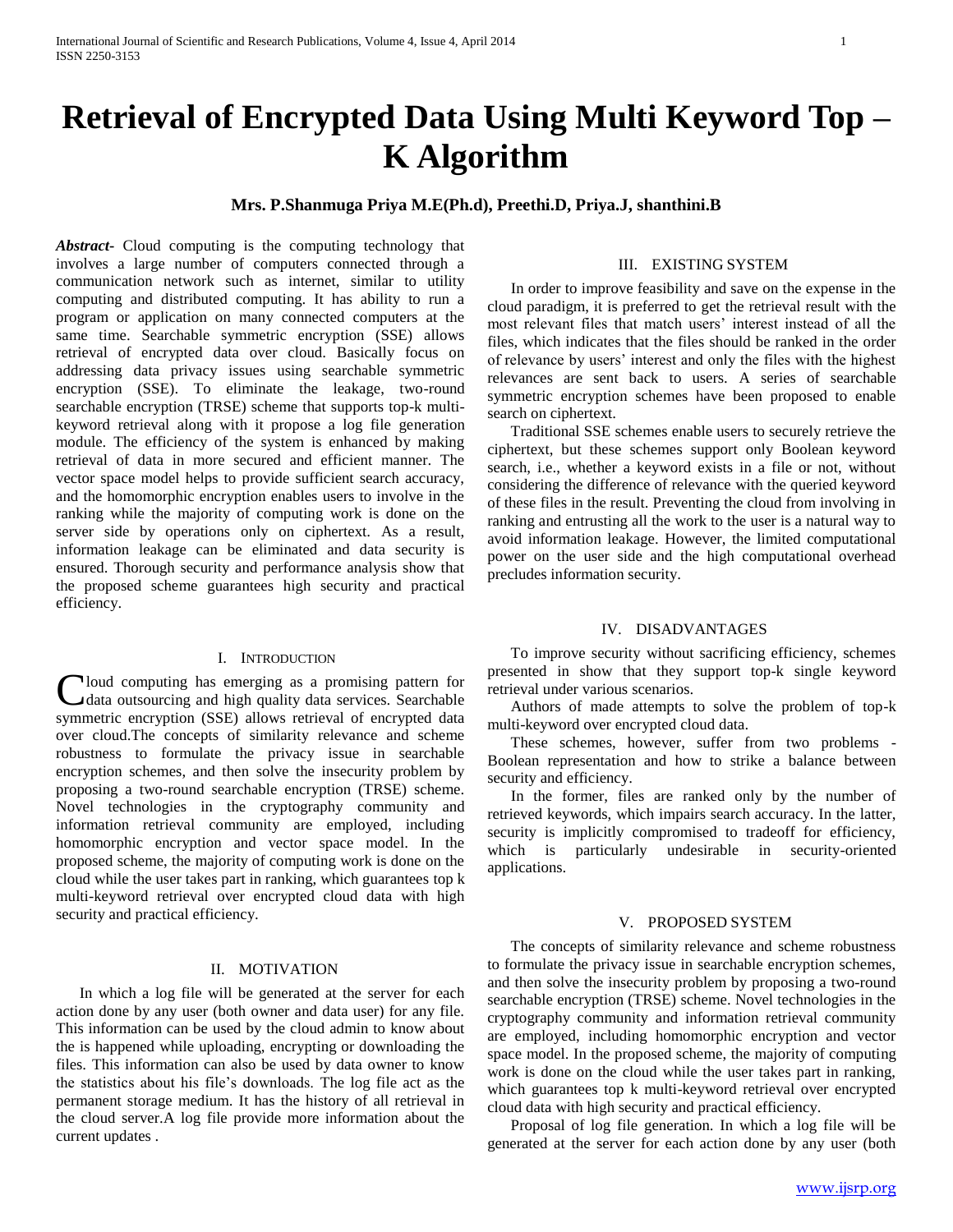# **Retrieval of Encrypted Data Using Multi Keyword Top – K Algorithm**

# **Mrs. P.Shanmuga Priya M.E(Ph.d), Preethi.D, Priya.J, shanthini.B**

*Abstract***-** Cloud computing is the computing technology that involves a large number of computers connected through a communication network such as internet, similar to utility computing and distributed computing. It has ability to run a program or application on many connected computers at the same time. Searchable symmetric encryption (SSE) allows retrieval of encrypted data over cloud. Basically focus on addressing data privacy issues using searchable symmetric encryption (SSE). To eliminate the leakage, two-round searchable encryption (TRSE) scheme that supports top-k multikeyword retrieval along with it propose a log file generation module. The efficiency of the system is enhanced by making retrieval of data in more secured and efficient manner. The vector space model helps to provide sufficient search accuracy, and the homomorphic encryption enables users to involve in the ranking while the majority of computing work is done on the server side by operations only on ciphertext. As a result, information leakage can be eliminated and data security is ensured. Thorough security and performance analysis show that the proposed scheme guarantees high security and practical efficiency.

#### I. INTRODUCTION

Cloud computing has emerging as a promising pattern for<br>
data outsourcing and high quality data services. Searchable data outsourcing and high quality data services. Searchable symmetric encryption (SSE) allows retrieval of encrypted data over cloud.The concepts of similarity relevance and scheme robustness to formulate the privacy issue in searchable encryption schemes, and then solve the insecurity problem by proposing a two-round searchable encryption (TRSE) scheme. Novel technologies in the cryptography community and information retrieval community are employed, including homomorphic encryption and vector space model. In the proposed scheme, the majority of computing work is done on the cloud while the user takes part in ranking, which guarantees top k multi-keyword retrieval over encrypted cloud data with high security and practical efficiency.

## II. MOTIVATION

 In which a log file will be generated at the server for each action done by any user (both owner and data user) for any file. This information can be used by the cloud admin to know about the is happened while uploading, encrypting or downloading the files. This information can also be used by data owner to know the statistics about his file's downloads. The log file act as the permanent storage medium. It has the history of all retrieval in the cloud server.A log file provide more information about the current updates .

### III. EXISTING SYSTEM

 In order to improve feasibility and save on the expense in the cloud paradigm, it is preferred to get the retrieval result with the most relevant files that match users' interest instead of all the files, which indicates that the files should be ranked in the order of relevance by users' interest and only the files with the highest relevances are sent back to users. A series of searchable symmetric encryption schemes have been proposed to enable search on ciphertext.

 Traditional SSE schemes enable users to securely retrieve the ciphertext, but these schemes support only Boolean keyword search, i.e., whether a keyword exists in a file or not, without considering the difference of relevance with the queried keyword of these files in the result. Preventing the cloud from involving in ranking and entrusting all the work to the user is a natural way to avoid information leakage. However, the limited computational power on the user side and the high computational overhead precludes information security.

#### IV. DISADVANTAGES

 To improve security without sacrificing efficiency, schemes presented in show that they support top-k single keyword retrieval under various scenarios.

 Authors of made attempts to solve the problem of top-k multi-keyword over encrypted cloud data.

 These schemes, however, suffer from two problems - Boolean representation and how to strike a balance between security and efficiency.

 In the former, files are ranked only by the number of retrieved keywords, which impairs search accuracy. In the latter, security is implicitly compromised to tradeoff for efficiency, which is particularly undesirable in security-oriented applications.

## V. PROPOSED SYSTEM

 The concepts of similarity relevance and scheme robustness to formulate the privacy issue in searchable encryption schemes, and then solve the insecurity problem by proposing a two-round searchable encryption (TRSE) scheme. Novel technologies in the cryptography community and information retrieval community are employed, including homomorphic encryption and vector space model. In the proposed scheme, the majority of computing work is done on the cloud while the user takes part in ranking, which guarantees top k multi-keyword retrieval over encrypted cloud data with high security and practical efficiency.

 Proposal of log file generation. In which a log file will be generated at the server for each action done by any user (both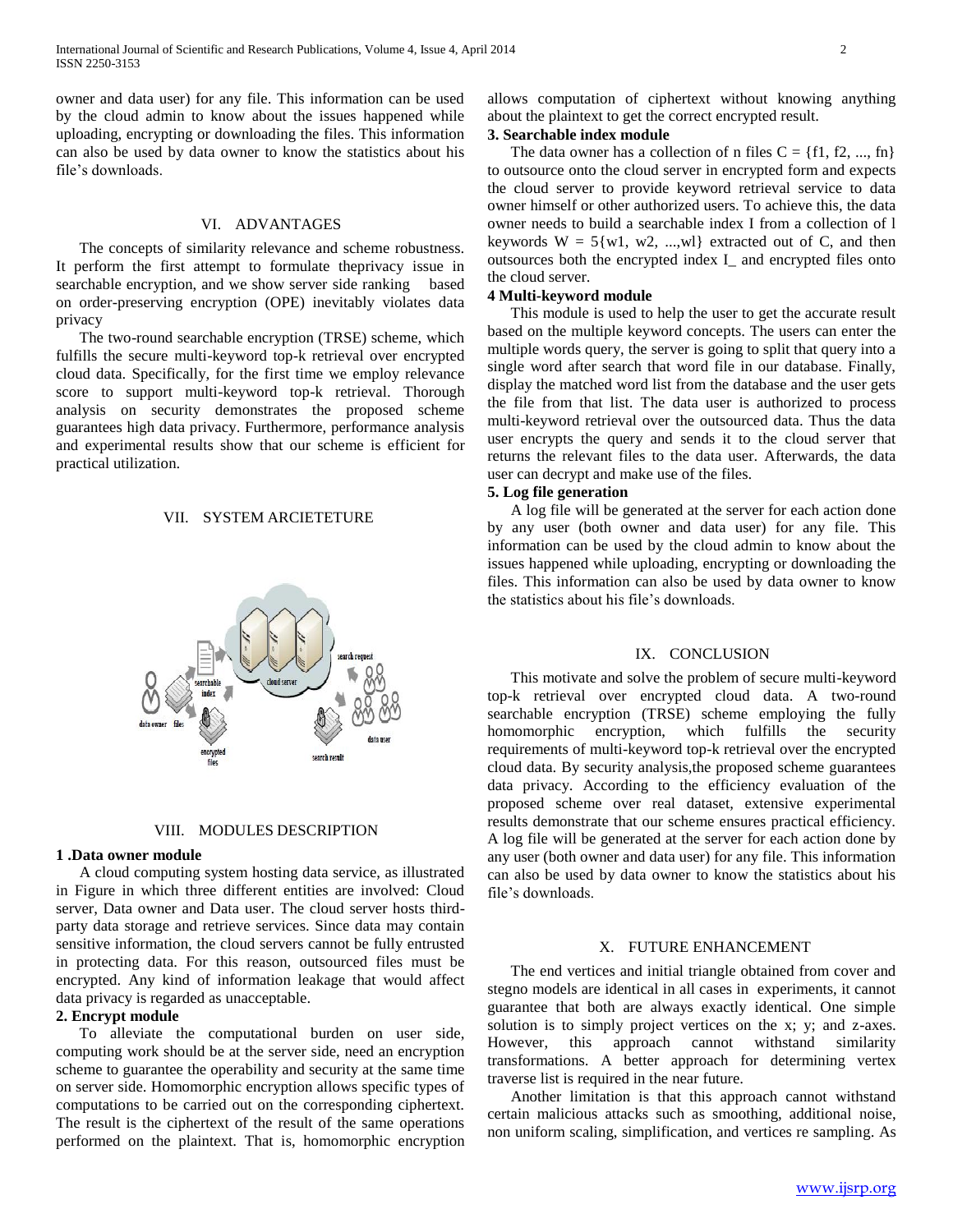owner and data user) for any file. This information can be used by the cloud admin to know about the issues happened while uploading, encrypting or downloading the files. This information can also be used by data owner to know the statistics about his file's downloads.

## VI. ADVANTAGES

 The concepts of similarity relevance and scheme robustness. It perform the first attempt to formulate theprivacy issue in searchable encryption, and we show server side ranking based on order-preserving encryption (OPE) inevitably violates data privacy

 The two-round searchable encryption (TRSE) scheme, which fulfills the secure multi-keyword top-k retrieval over encrypted cloud data. Specifically, for the first time we employ relevance score to support multi-keyword top-k retrieval. Thorough analysis on security demonstrates the proposed scheme guarantees high data privacy. Furthermore, performance analysis and experimental results show that our scheme is efficient for practical utilization.

#### VII. SYSTEM ARCIETETURE





#### **1 .Data owner module**

 A cloud computing system hosting data service, as illustrated in Figure in which three different entities are involved: Cloud server, Data owner and Data user. The cloud server hosts thirdparty data storage and retrieve services. Since data may contain sensitive information, the cloud servers cannot be fully entrusted in protecting data. For this reason, outsourced files must be encrypted. Any kind of information leakage that would affect data privacy is regarded as unacceptable.

#### **2. Encrypt module**

 To alleviate the computational burden on user side, computing work should be at the server side, need an encryption scheme to guarantee the operability and security at the same time on server side. Homomorphic encryption allows specific types of computations to be carried out on the corresponding ciphertext. The result is the ciphertext of the result of the same operations performed on the plaintext. That is, homomorphic encryption

allows computation of ciphertext without knowing anything about the plaintext to get the correct encrypted result.

## **3. Searchable index module**

The data owner has a collection of n files  $C = \{f1, f2, ..., fr\}$ to outsource onto the cloud server in encrypted form and expects the cloud server to provide keyword retrieval service to data owner himself or other authorized users. To achieve this, the data owner needs to build a searchable index I from a collection of l keywords  $W = 5\{w1, w2, ..., w1\}$  extracted out of C, and then outsources both the encrypted index I\_ and encrypted files onto the cloud server.

#### **4 Multi-keyword module**

 This module is used to help the user to get the accurate result based on the multiple keyword concepts. The users can enter the multiple words query, the server is going to split that query into a single word after search that word file in our database. Finally, display the matched word list from the database and the user gets the file from that list. The data user is authorized to process multi-keyword retrieval over the outsourced data. Thus the data user encrypts the query and sends it to the cloud server that returns the relevant files to the data user. Afterwards, the data user can decrypt and make use of the files.

#### **5. Log file generation**

 A log file will be generated at the server for each action done by any user (both owner and data user) for any file. This information can be used by the cloud admin to know about the issues happened while uploading, encrypting or downloading the files. This information can also be used by data owner to know the statistics about his file's downloads.

#### IX. CONCLUSION

 This motivate and solve the problem of secure multi-keyword top-k retrieval over encrypted cloud data. A two-round searchable encryption (TRSE) scheme employing the fully homomorphic encryption, which fulfills the security requirements of multi-keyword top-k retrieval over the encrypted cloud data. By security analysis,the proposed scheme guarantees data privacy. According to the efficiency evaluation of the proposed scheme over real dataset, extensive experimental results demonstrate that our scheme ensures practical efficiency. A log file will be generated at the server for each action done by any user (both owner and data user) for any file. This information can also be used by data owner to know the statistics about his file's downloads.

## X. FUTURE ENHANCEMENT

 The end vertices and initial triangle obtained from cover and stegno models are identical in all cases in experiments, it cannot guarantee that both are always exactly identical. One simple solution is to simply project vertices on the x; y; and z-axes. However, this approach cannot withstand similarity transformations. A better approach for determining vertex traverse list is required in the near future.

 Another limitation is that this approach cannot withstand certain malicious attacks such as smoothing, additional noise, non uniform scaling, simplification, and vertices re sampling. As